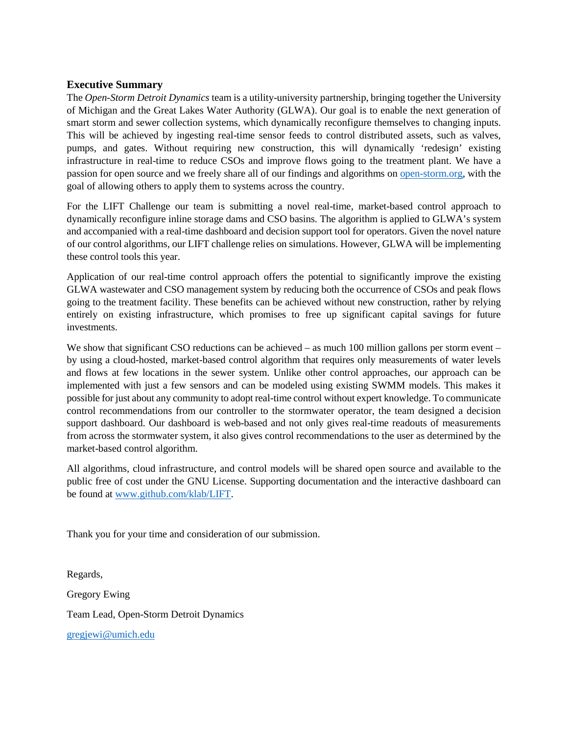### **Executive Summary**

The *Open-Storm Detroit Dynamics* team is a utility-university partnership, bringing together the University of Michigan and the Great Lakes Water Authority (GLWA). Our goal is to enable the next generation of smart storm and sewer collection systems, which dynamically reconfigure themselves to changing inputs. This will be achieved by ingesting real-time sensor feeds to control distributed assets, such as valves, pumps, and gates. Without requiring new construction, this will dynamically 'redesign' existing infrastructure in real-time to reduce CSOs and improve flows going to the treatment plant. We have a passion for open source and we freely share all of our findings and algorithms on [open-storm.org,](http://www.open-storm.org/) with the goal of allowing others to apply them to systems across the country.

For the LIFT Challenge our team is submitting a novel real-time, market-based control approach to dynamically reconfigure inline storage dams and CSO basins. The algorithm is applied to GLWA's system and accompanied with a real-time dashboard and decision support tool for operators. Given the novel nature of our control algorithms, our LIFT challenge relies on simulations. However, GLWA will be implementing these control tools this year.

Application of our real-time control approach offers the potential to significantly improve the existing GLWA wastewater and CSO management system by reducing both the occurrence of CSOs and peak flows going to the treatment facility. These benefits can be achieved without new construction, rather by relying entirely on existing infrastructure, which promises to free up significant capital savings for future investments.

We show that significant CSO reductions can be achieved – as much 100 million gallons per storm event – by using a cloud-hosted, market-based control algorithm that requires only measurements of water levels and flows at few locations in the sewer system. Unlike other control approaches, our approach can be implemented with just a few sensors and can be modeled using existing SWMM models. This makes it possible for just about any community to adopt real-time control without expert knowledge. To communicate control recommendations from our controller to the stormwater operator, the team designed a decision support dashboard. Our dashboard is web-based and not only gives real-time readouts of measurements from across the stormwater system, it also gives control recommendations to the user as determined by the market-based control algorithm.

All algorithms, cloud infrastructure, and control models will be shared open source and available to the public free of cost under the GNU License. Supporting documentation and the interactive dashboard can be found at [www.github.com/klab/LIFT.](http://www.github.com/klab/LIFT)

Thank you for your time and consideration of our submission.

Regards, Gregory Ewing Team Lead, Open-Storm Detroit Dynamics [gregjewi@umich.edu](mailto:gregjewi@umich.edu)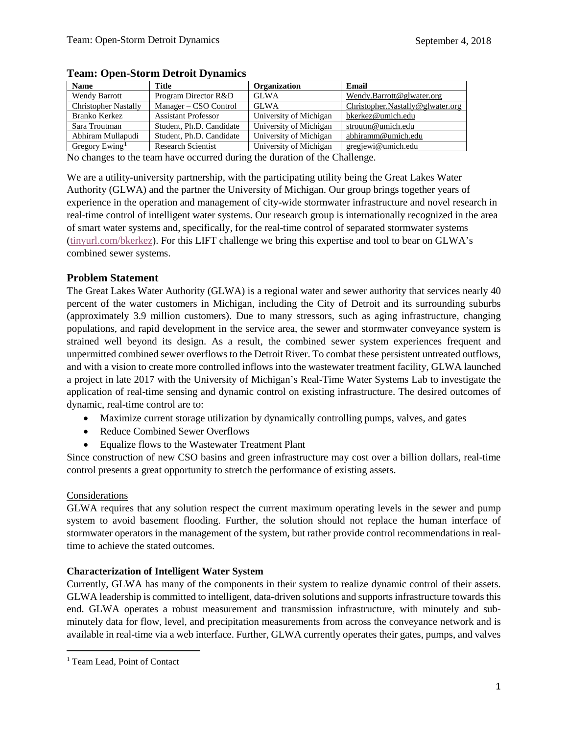| <b>Name</b>                 | Title                      | Organization           | Email                            |
|-----------------------------|----------------------------|------------------------|----------------------------------|
| <b>Wendy Barrott</b>        | Program Director R&D       | <b>GLWA</b>            | Wendy.Barrott@glwater.org        |
| <b>Christopher Nastally</b> | Manager – CSO Control      | <b>GLWA</b>            | Christopher.Nastally@glwater.org |
| Branko Kerkez               | <b>Assistant Professor</b> | University of Michigan | bkerkez@umich.edu                |
| Sara Troutman               | Student, Ph.D. Candidate   | University of Michigan | stroutm@umich.edu                |
| Abhiram Mullapudi           | Student, Ph.D. Candidate   | University of Michigan | abhiramm@umich.edu               |
| Gregory Ewing <sup>1</sup>  | <b>Research Scientist</b>  | University of Michigan | gregjewi@umich.edu               |

#### **Team: Open-Storm Detroit Dynamics**

No changes to the team have occurred during the duration of the Challenge.

We are a utility-university partnership, with the participating utility being the Great Lakes Water Authority (GLWA) and the partner the University of Michigan. Our group brings together years of experience in the operation and management of city-wide stormwater infrastructure and novel research in real-time control of intelligent water systems. Our research group is internationally recognized in the area of smart water systems and, specifically, for the real-time control of separated stormwater systems [\(tinyurl.com/bkerkez\)](http://www.tinyurl.com/bkerkez). For this LIFT challenge we bring this expertise and tool to bear on GLWA's combined sewer systems.

### **Problem Statement**

The Great Lakes Water Authority (GLWA) is a regional water and sewer authority that services nearly 40 percent of the water customers in Michigan, including the City of Detroit and its surrounding suburbs (approximately 3.9 million customers). Due to many stressors, such as aging infrastructure, changing populations, and rapid development in the service area, the sewer and stormwater conveyance system is strained well beyond its design. As a result, the combined sewer system experiences frequent and unpermitted combined sewer overflows to the Detroit River. To combat these persistent untreated outflows, and with a vision to create more controlled inflows into the wastewater treatment facility, GLWA launched a project in late 2017 with the University of Michigan's Real-Time Water Systems Lab to investigate the application of real-time sensing and dynamic control on existing infrastructure. The desired outcomes of dynamic, real-time control are to:

- Maximize current storage utilization by dynamically controlling pumps, valves, and gates
- Reduce Combined Sewer Overflows
- Equalize flows to the Wastewater Treatment Plant

Since construction of new CSO basins and green infrastructure may cost over a billion dollars, real-time control presents a great opportunity to stretch the performance of existing assets.

#### Considerations

GLWA requires that any solution respect the current maximum operating levels in the sewer and pump system to avoid basement flooding. Further, the solution should not replace the human interface of stormwater operators in the management of the system, but rather provide control recommendations in realtime to achieve the stated outcomes.

#### **Characterization of Intelligent Water System**

Currently, GLWA has many of the components in their system to realize dynamic control of their assets. GLWA leadership is committed to intelligent, data-driven solutions and supports infrastructure towards this end. GLWA operates a robust measurement and transmission infrastructure, with minutely and subminutely data for flow, level, and precipitation measurements from across the conveyance network and is available in real-time via a web interface. Further, GLWA currently operates their gates, pumps, and valves

<span id="page-1-0"></span><sup>&</sup>lt;sup>1</sup> Team Lead, Point of Contact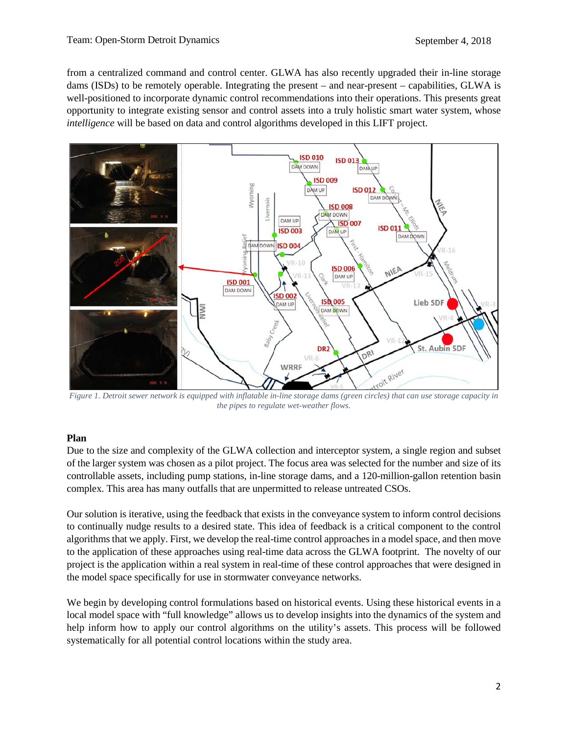from a centralized command and control center. GLWA has also recently upgraded their in-line storage dams (ISDs) to be remotely operable. Integrating the present – and near-present – capabilities, GLWA is well-positioned to incorporate dynamic control recommendations into their operations. This presents great opportunity to integrate existing sensor and control assets into a truly holistic smart water system, whose *intelligence* will be based on data and control algorithms developed in this LIFT project.



*Figure 1. Detroit sewer network is equipped with inflatable in-line storage dams (green circles) that can use storage capacity in the pipes to regulate wet-weather flows.*

#### **Plan**

Due to the size and complexity of the GLWA collection and interceptor system, a single region and subset of the larger system was chosen as a pilot project. The focus area was selected for the number and size of its controllable assets, including pump stations, in-line storage dams, and a 120-million-gallon retention basin complex. This area has many outfalls that are unpermitted to release untreated CSOs.

Our solution is iterative, using the feedback that exists in the conveyance system to inform control decisions to continually nudge results to a desired state. This idea of feedback is a critical component to the control algorithms that we apply. First, we develop the real-time control approaches in a model space, and then move to the application of these approaches using real-time data across the GLWA footprint. The novelty of our project is the application within a real system in real-time of these control approaches that were designed in the model space specifically for use in stormwater conveyance networks.

We begin by developing control formulations based on historical events. Using these historical events in a local model space with "full knowledge" allows us to develop insights into the dynamics of the system and help inform how to apply our control algorithms on the utility's assets. This process will be followed systematically for all potential control locations within the study area.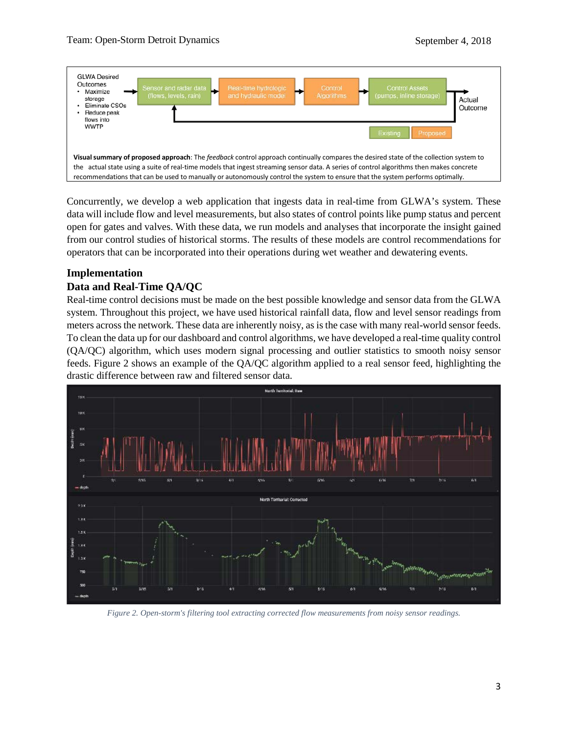

Concurrently, we develop a web application that ingests data in real-time from GLWA's system. These data will include flow and level measurements, but also states of control points like pump status and percent open for gates and valves. With these data, we run models and analyses that incorporate the insight gained from our control studies of historical storms. The results of these models are control recommendations for operators that can be incorporated into their operations during wet weather and dewatering events.

## **Implementation**

### **Data and Real-Time QA/QC**

Real-time control decisions must be made on the best possible knowledge and sensor data from the GLWA system. Throughout this project, we have used historical rainfall data, flow and level sensor readings from meters across the network. These data are inherently noisy, as is the case with many real-world sensor feeds. To clean the data up for our dashboard and control algorithms, we have developed a real-time quality control (QA/QC) algorithm, which uses modern signal processing and outlier statistics to smooth noisy sensor feeds. Figure 2 shows an example of the QA/QC algorithm applied to a real sensor feed, highlighting the drastic difference between raw and filtered sensor data.



*Figure 2. Open-storm's filtering tool extracting corrected flow measurements from noisy sensor readings.*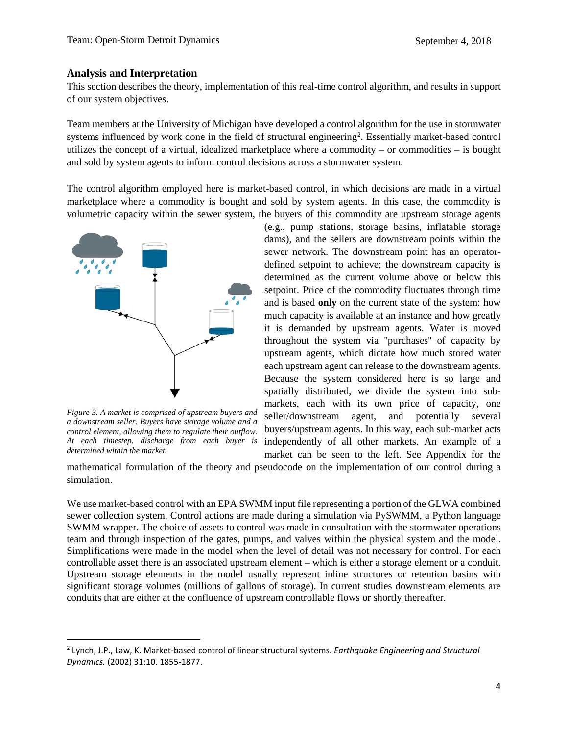#### **Analysis and Interpretation**

This section describes the theory, implementation of this real-time control algorithm, and results in support of our system objectives.

Team members at the University of Michigan have developed a control algorithm for the use in stormwater systems influenced by work done in the field of structural engineering<sup>2</sup>. Essentially market-based control utilizes the concept of a virtual, idealized marketplace where a commodity – or commodities – is bought and sold by system agents to inform control decisions across a stormwater system.

The control algorithm employed here is market-based control, in which decisions are made in a virtual marketplace where a commodity is bought and sold by system agents. In this case, the commodity is volumetric capacity within the sewer system, the buyers of this commodity are upstream storage agents



*Figure 3. A market is comprised of upstream buyers and a downstream seller. Buyers have storage volume and a control element, allowing them to regulate their outflow. At each timestep, discharge from each buyer is determined within the market.*

(e.g., pump stations, storage basins, inflatable storage dams), and the sellers are downstream points within the sewer network. The downstream point has an operatordefined setpoint to achieve; the downstream capacity is determined as the current volume above or below this setpoint. Price of the commodity fluctuates through time and is based **only** on the current state of the system: how much capacity is available at an instance and how greatly it is demanded by upstream agents. Water is moved throughout the system via ''purchases'' of capacity by upstream agents, which dictate how much stored water each upstream agent can release to the downstream agents. Because the system considered here is so large and spatially distributed, we divide the system into submarkets, each with its own price of capacity, one seller/downstream agent, and potentially several buyers/upstream agents. In this way, each sub-market acts independently of all other markets. An example of a market can be seen to the left. See Appendix for the

mathematical formulation of the theory and pseudocode on the implementation of our control during a simulation.

We use market-based control with an EPA SWMM input file representing a portion of the GLWA combined sewer collection system. Control actions are made during a simulation via PySWMM, a Python language SWMM wrapper. The choice of assets to control was made in consultation with the stormwater operations team and through inspection of the gates, pumps, and valves within the physical system and the model. Simplifications were made in the model when the level of detail was not necessary for control. For each controllable asset there is an associated upstream element – which is either a storage element or a conduit. Upstream storage elements in the model usually represent inline structures or retention basins with significant storage volumes (millions of gallons of storage). In current studies downstream elements are conduits that are either at the confluence of upstream controllable flows or shortly thereafter.

<span id="page-4-0"></span> <sup>2</sup> Lynch, J.P., Law, K. Market-based control of linear structural systems. *Earthquake Engineering and Structural Dynamics.* (2002) 31:10. 1855-1877.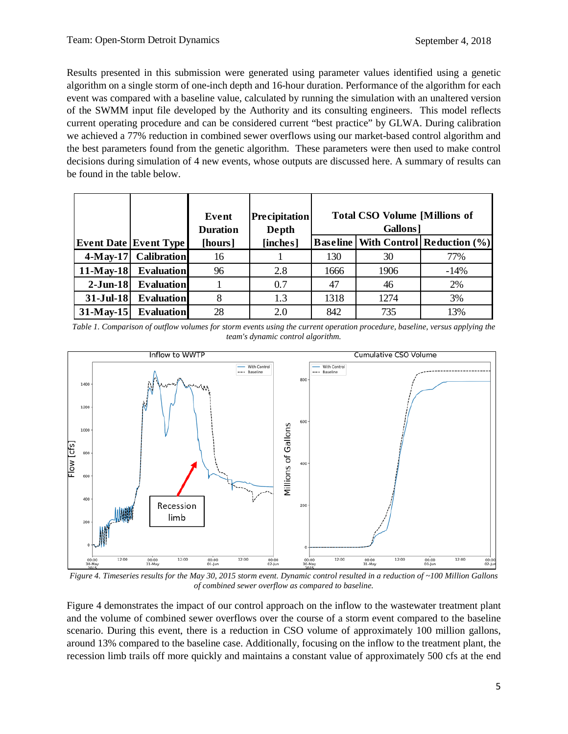Results presented in this submission were generated using parameter values identified using a genetic algorithm on a single storm of one-inch depth and 16-hour duration. Performance of the algorithm for each event was compared with a baseline value, calculated by running the simulation with an unaltered version of the SWMM input file developed by the Authority and its consulting engineers. This model reflects current operating procedure and can be considered current "best practice" by GLWA. During calibration we achieved a 77% reduction in combined sewer overflows using our market-based control algorithm and the best parameters found from the genetic algorithm. These parameters were then used to make control decisions during simulation of 4 new events, whose outputs are discussed here. A summary of results can be found in the table below.

|              |                              | Event<br><b>Duration</b> | <b>Precipitation</b><br>Depth | <b>Total CSO Volume [Millions of</b><br>Gallons <sup>1</sup> |      |                                                |
|--------------|------------------------------|--------------------------|-------------------------------|--------------------------------------------------------------|------|------------------------------------------------|
|              | <b>Event Date Event Type</b> | [hours]                  | [inches]                      |                                                              |      | <b>Baseline   With Control   Reduction (%)</b> |
| $4$ -May-17  | <b>Calibration</b>           | 16                       |                               | 130                                                          | 30   | 77%                                            |
| $11-May-18$  | <b>Evaluation</b>            | 96                       | 2.8                           | 1666                                                         | 1906 | $-14%$                                         |
| $2-Jun-18$   | <b>Evaluation</b>            |                          | 0.7                           | 47                                                           | 46   | 2%                                             |
| $31-Jul-18$  | <b>Evaluation</b>            | 8                        | 1.3                           | 1318                                                         | 1274 | 3%                                             |
| $31$ -May-15 | <b>Evaluation</b>            | 28                       | 2.0                           | 842                                                          | 735  | 13%                                            |

<span id="page-5-1"></span>*Table 1. Comparison of outflow volumes for storm events using the current operation procedure, baseline, versus applying the team's dynamic control algorithm.*



<span id="page-5-0"></span>*Figure 4. Timeseries results for the May 30, 2015 storm event. Dynamic control resulted in a reduction of ~100 Million Gallons of combined sewer overflow as compared to baseline.*

[Figure 4](#page-5-0) demonstrates the impact of our control approach on the inflow to the wastewater treatment plant and the volume of combined sewer overflows over the course of a storm event compared to the baseline scenario. During this event, there is a reduction in CSO volume of approximately 100 million gallons, around 13% compared to the baseline case. Additionally, focusing on the inflow to the treatment plant, the recession limb trails off more quickly and maintains a constant value of approximately 500 cfs at the end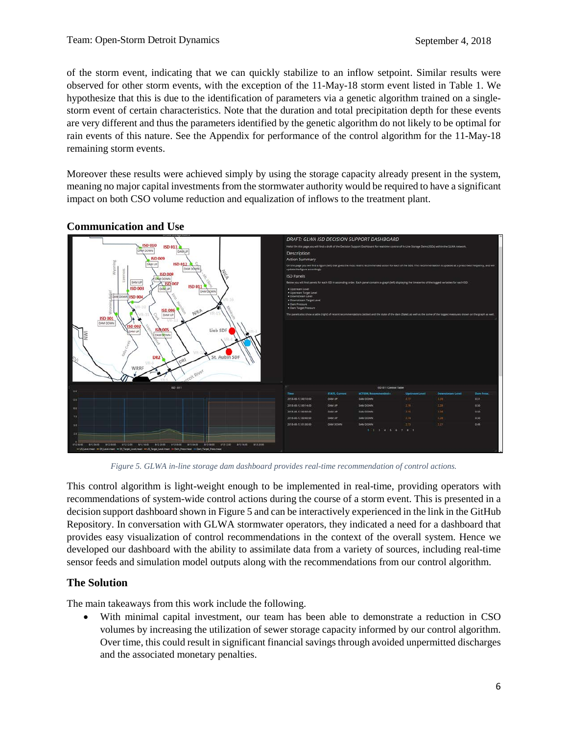of the storm event, indicating that we can quickly stabilize to an inflow setpoint. Similar results were observed for other storm events, with the exception of the 11-May-18 storm event listed in [Table 1.](#page-5-1) We hypothesize that this is due to the identification of parameters via a genetic algorithm trained on a singlestorm event of certain characteristics. Note that the duration and total precipitation depth for these events are very different and thus the parameters identified by the genetic algorithm do not likely to be optimal for rain events of this nature. See the Appendix for performance of the control algorithm for the 11-May-18 remaining storm events.

Moreover these results were achieved simply by using the storage capacity already present in the system, meaning no major capital investments from the stormwater authority would be required to have a significant impact on both CSO volume reduction and equalization of inflows to the treatment plant.



## **Communication and Use**

*Figure 5. GLWA in-line storage dam dashboard provides real-time recommendation of control actions.*

<span id="page-6-0"></span>This control algorithm is light-weight enough to be implemented in real-time, providing operators with recommendations of system-wide control actions during the course of a storm event. This is presented in a decision support dashboard shown i[n Figure](#page-6-0) 5 and can be interactively experienced in the link in the GitHub Repository. In conversation with GLWA stormwater operators, they indicated a need for a dashboard that provides easy visualization of control recommendations in the context of the overall system. Hence we developed our dashboard with the ability to assimilate data from a variety of sources, including real-time sensor feeds and simulation model outputs along with the recommendations from our control algorithm.

# **The Solution**

The main takeaways from this work include the following.

• With minimal capital investment, our team has been able to demonstrate a reduction in CSO volumes by increasing the utilization of sewer storage capacity informed by our control algorithm. Over time, this could result in significant financial savings through avoided unpermitted discharges and the associated monetary penalties.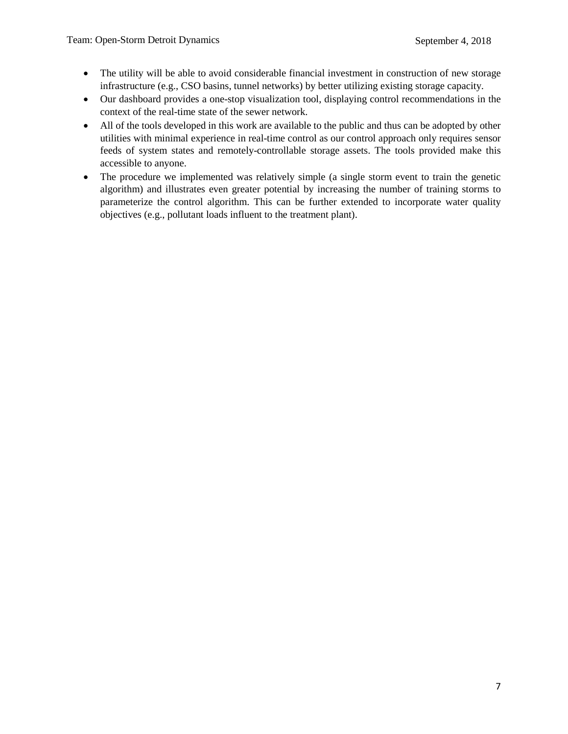- The utility will be able to avoid considerable financial investment in construction of new storage infrastructure (e.g., CSO basins, tunnel networks) by better utilizing existing storage capacity.
- Our dashboard provides a one-stop visualization tool, displaying control recommendations in the context of the real-time state of the sewer network.
- All of the tools developed in this work are available to the public and thus can be adopted by other utilities with minimal experience in real-time control as our control approach only requires sensor feeds of system states and remotely-controllable storage assets. The tools provided make this accessible to anyone.
- The procedure we implemented was relatively simple (a single storm event to train the genetic algorithm) and illustrates even greater potential by increasing the number of training storms to parameterize the control algorithm. This can be further extended to incorporate water quality objectives (e.g., pollutant loads influent to the treatment plant).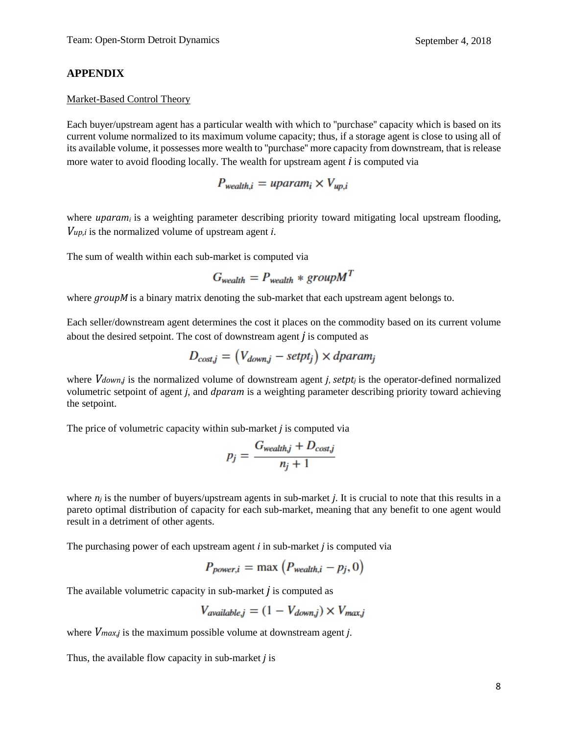### **APPENDIX**

#### Market-Based Control Theory

Each buyer/upstream agent has a particular wealth with which to ''purchase'' capacity which is based on its current volume normalized to its maximum volume capacity; thus, if a storage agent is close to using all of its available volume, it possesses more wealth to ''purchase'' more capacity from downstream, that is release more water to avoid flooding locally. The wealth for upstream agent *i* is computed via

$$
P_{\text{wealth},i} = \text{uparam}_i \times V_{\text{up},i}
$$

where *uparam<sub>i</sub>* is a weighting parameter describing priority toward mitigating local upstream flooding, *Vup*,*<sup>i</sup>* is the normalized volume of upstream agent *i*.

The sum of wealth within each sub-market is computed via

$$
G_{\text{wealth}} = P_{\text{wealth}} * \text{group} M^T
$$

where *groupM* is a binary matrix denoting the sub-market that each upstream agent belongs to.

Each seller/downstream agent determines the cost it places on the commodity based on its current volume about the desired setpoint. The cost of downstream agent *j* is computed as

$$
D_{cost,j} = (V_{down,j} - setpt_j) \times dparam_j
$$

where *Vdown*,*j* is the normalized volume of downstream agent *j*, *setpt<sub>i</sub>* is the operator-defined normalized volumetric setpoint of agent *j*, and *dparam* is a weighting parameter describing priority toward achieving the setpoint.

The price of volumetric capacity within sub-market *j* is computed via

$$
p_j = \frac{G_{\text{wealth},j} + D_{\text{cost},j}}{n_i + 1}
$$

where  $n_i$  is the number of buyers/upstream agents in sub-market *j*. It is crucial to note that this results in a pareto optimal distribution of capacity for each sub-market, meaning that any benefit to one agent would result in a detriment of other agents.

The purchasing power of each upstream agent *i* in sub-market *j* is computed via

$$
P_{power,i} = \max\left(P_{\text{wealth},i} - p_j, 0\right)
$$

The available volumetric capacity in sub-market *j* is computed as

$$
V_{available,j} = (1 - V_{down,j}) \times V_{max,j}
$$

where *Vmax*,*<sup>j</sup>* is the maximum possible volume at downstream agent *j*.

Thus, the available flow capacity in sub-market *j* is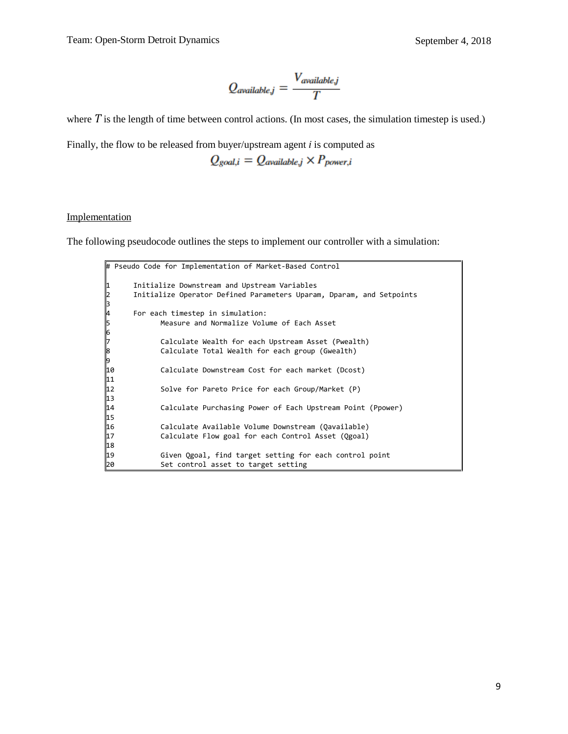$$
Q_{available,j} = \frac{V_{available,j}}{T}
$$

where T is the length of time between control actions. (In most cases, the simulation timestep is used.)

Finally, the flow to be released from buyer/upstream agent *i* is computed as

 $Q_{goal,i} = Q_{available,j} \times P_{power,i}$ 

#### Implementation

The following pseudocode outlines the steps to implement our controller with a simulation:

```
# Pseudo Code for Implementation of Market-Based Control
      1 Initialize Downstream and Upstream Variables
      2 Initialize Operator Defined Parameters Uparam, Dparam, and Setpoints
2<br>3<br>4<br>5
      For each timestep in simulation:
            Measure and Normalize Volume of Each Asset
6<br>7
7 Calculate Wealth for each Upstream Asset (Pwealth)
            Calculate Total Wealth for each group (Gwealth)
9<br>10
            Calculate Downstream Cost for each market (Dcost)
11
12 Solve for Pareto Price for each Group/Market (P)
13
14 Calculate Purchasing Power of Each Upstream Point (Ppower)
15
16 Calculate Available Volume Downstream (Qavailable)
17 Calculate Flow goal for each Control Asset (Qgoal)
18
19 Given Qgoal, find target setting for each control point
20 Set control asset to target setting
```